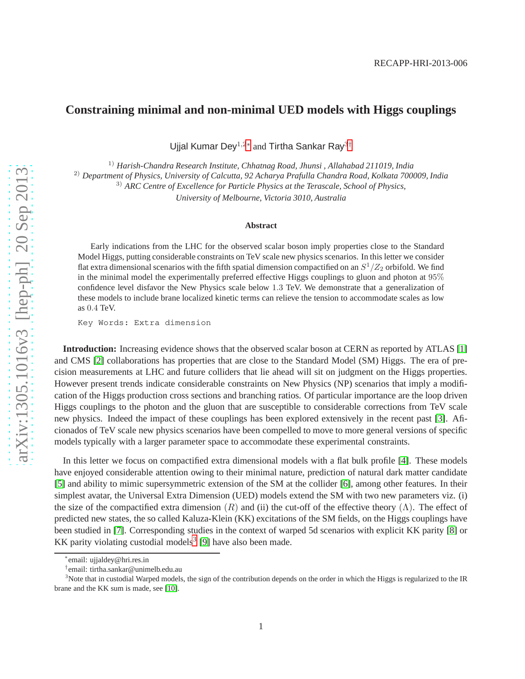## **Constraining minimal and non-minimal UED models with Higgs couplings**

Ujjal Kumar Dey<sup>1,2[∗](#page-0-0)</sup> and Tirtha Sankar Ray<sup>3[†](#page-0-1)</sup>

1) *Harish-Chandra Research Institute, Chhatnag Road, Jhunsi , Allahabad 211019, India*

2) *Department of Physics, University of Calcutta, 92 Acharya Prafulla Chandra Road, Kolkata 700009, India*

3) *ARC Centre of Excellence for Particle Physics at the Terascale, School of Physics,*

*University of Melbourne, Victoria 3010, Australia*

## **Abstract**

Early indications from the LHC for the observed scalar boson imply properties close to the Standard Model Higgs, putting considerable constraints on TeV scale new physics scenarios. In this letter we consider flat extra dimensional scenarios with the fifth spatial dimension compactified on an  $S^1/Z_2$  orbifold. We find in the minimal model the experimentally preferred effective Higgs couplings to gluon and photon at 95% confidence level disfavor the New Physics scale below 1.3 TeV. We demonstrate that a generalization of these models to include brane localized kinetic terms can relieve the tension to accommodate scales as low as 0.4 TeV.

Key Words: Extra dimension

**Introduction:** Increasing evidence shows that the observed scalar boson at CERN as reported by ATLAS [\[1\]](#page-7-0) and CMS [\[2\]](#page-7-1) collaborations has properties that are close to the Standard Model (SM) Higgs. The era of precision measurements at LHC and future colliders that lie ahead will sit on judgment on the Higgs properties. However present trends indicate considerable constraints on New Physics (NP) scenarios that imply a modification of the Higgs production cross sections and branching ratios. Of particular importance are the loop driven Higgs couplings to the photon and the gluon that are susceptible to considerable corrections from TeV scale new physics. Indeed the impact of these couplings has been explored extensively in the recent past [\[3\]](#page-7-2). Aficionados of TeV scale new physics scenarios have been compelled to move to more general versions of specific models typically with a larger parameter space to accommodate these experimental constraints.

In this letter we focus on compactified extra dimensional models with a flat bulk profile [\[4\]](#page-7-3). These models have enjoyed considerable attention owing to their minimal nature, prediction of natural dark matter candidate [\[5\]](#page-7-4) and ability to mimic supersymmetric extension of the SM at the collider [\[6\]](#page-7-5), among other features. In their simplest avatar, the Universal Extra Dimension (UED) models extend the SM with two new parameters viz. (i) the size of the compactified extra dimension  $(R)$  and (ii) the cut-off of the effective theory  $(\Lambda)$ . The effect of predicted new states, the so called Kaluza-Klein (KK) excitations of the SM fields, on the Higgs couplings have been studied in [\[7\]](#page-7-6). Corresponding studies in the context of warped 5d scenarios with explicit KK parity [\[8\]](#page-7-7) or KK parity violating custodial models<sup>[3](#page-0-2)</sup> [\[9\]](#page-7-8) have also been made.

<sup>∗</sup> email: ujjaldey@hri.res.in

<span id="page-0-1"></span><span id="page-0-0"></span><sup>†</sup> email: tirtha.sankar@unimelb.edu.au

<span id="page-0-2"></span><sup>&</sup>lt;sup>3</sup>Note that in custodial Warped models, the sign of the contribution depends on the order in which the Higgs is regularized to the IR brane and the KK sum is made, see [\[10\]](#page-7-9).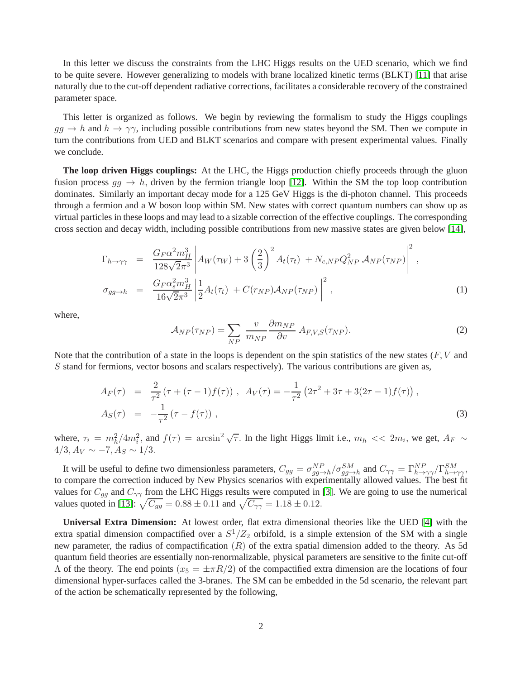In this letter we discuss the constraints from the LHC Higgs results on the UED scenario, which we find to be quite severe. However generalizing to models with brane localized kinetic terms (BLKT) [\[11\]](#page-7-10) that arise naturally due to the cut-off dependent radiative corrections, facilitates a considerable recovery of the constrained parameter space.

This letter is organized as follows. We begin by reviewing the formalism to study the Higgs couplings  $gg \to h$  and  $h \to \gamma \gamma$ , including possible contributions from new states beyond the SM. Then we compute in turn the contributions from UED and BLKT scenarios and compare with present experimental values. Finally we conclude.

**The loop driven Higgs couplings:** At the LHC, the Higgs production chiefly proceeds through the gluon fusion process  $q\bar{q} \to h$ , driven by the fermion triangle loop [\[12\]](#page-7-11). Within the SM the top loop contribution dominates. Similarly an important decay mode for a 125 GeV Higgs is the di-photon channel. This proceeds through a fermion and a W boson loop within SM. New states with correct quantum numbers can show up as virtual particles in these loops and may lead to a sizable correction of the effective couplings. The corresponding cross section and decay width, including possible contributions from new massive states are given below [\[14\]](#page-7-12),

<span id="page-1-1"></span>
$$
\Gamma_{h \to \gamma\gamma} = \frac{G_F \alpha^2 m_H^3}{128\sqrt{2}\pi^3} \left| A_W(\tau_W) + 3\left(\frac{2}{3}\right)^2 A_t(\tau_t) + N_{c, NP} Q_{NP}^2 A_{NP}(\tau_{NP}) \right|^2,
$$
\n
$$
\sigma_{gg \to h} = \frac{G_F \alpha_s^2 m_H^3}{16\sqrt{2}\pi^3} \left| \frac{1}{2} A_t(\tau_t) + C(r_{NP}) A_{NP}(\tau_{NP}) \right|^2,
$$
\n(1)

where,

<span id="page-1-0"></span>
$$
\mathcal{A}_{NP}(\tau_{NP}) = \sum_{NP} \frac{v}{m_{NP}} \frac{\partial m_{NP}}{\partial v} \, A_{F,V,S}(\tau_{NP}). \tag{2}
$$

Note that the contribution of a state in the loops is dependent on the spin statistics of the new states  $(F, V)$  and S stand for fermions, vector bosons and scalars respectively). The various contributions are given as,

$$
A_F(\tau) = \frac{2}{\tau^2} (\tau + (\tau - 1)f(\tau)), \quad A_V(\tau) = -\frac{1}{\tau^2} (2\tau^2 + 3\tau + 3(2\tau - 1)f(\tau)),
$$
  
\n
$$
A_S(\tau) = -\frac{1}{\tau^2} (\tau - f(\tau)),
$$
\n(3)

where,  $\tau_i = m_h^2/4m_i^2$ , and  $f(\tau) = \arcsin^2 \sqrt{\tau}$ . In the light Higgs limit i.e.,  $m_h \ll 2m_i$ , we get,  $A_F \sim$  $4/3$ ,  $A_V \sim -7$ ,  $A_S \sim 1/3$ .

It will be useful to define two dimensionless parameters,  $C_{gg} = \frac{\sigma_{gg \to h}^{NP}}{\sigma_{gg \to h}^{SM}} / \frac{\sigma_{gg \to h}^{SM}}{\sigma_{gg \to h}^{SM}} = \Gamma_{h \to \gamma\gamma}^{NP} / \Gamma_{h \to \gamma\gamma}^{SM}$ to compare the correction induced by New Physics scenarios with experimentally allowed values. The best fit values for  $C_{gg}$  and  $C_{\gamma\gamma}$  from the LHC Higgs results were computed in [\[3\]](#page-7-2). We are going to use the numerical values quoted in [\[13\]](#page-7-13):  $\sqrt{C_{gg}} = 0.88 \pm 0.11$  and  $\sqrt{C_{\gamma\gamma}} = 1.18 \pm 0.12$ .

**Universal Extra Dimension:** At lowest order, flat extra dimensional theories like the UED [\[4\]](#page-7-3) with the extra spatial dimension compactified over a  $S^1/Z_2$  orbifold, is a simple extension of the SM with a single new parameter, the radius of compactification  $(R)$  of the extra spatial dimension added to the theory. As 5d quantum field theories are essentially non-renormalizable, physical parameters are sensitive to the finite cut-off  $\Lambda$  of the theory. The end points  $(x_5 = \pm \pi R/2)$  of the compactified extra dimension are the locations of four dimensional hyper-surfaces called the 3-branes. The SM can be embedded in the 5d scenario, the relevant part of the action be schematically represented by the following,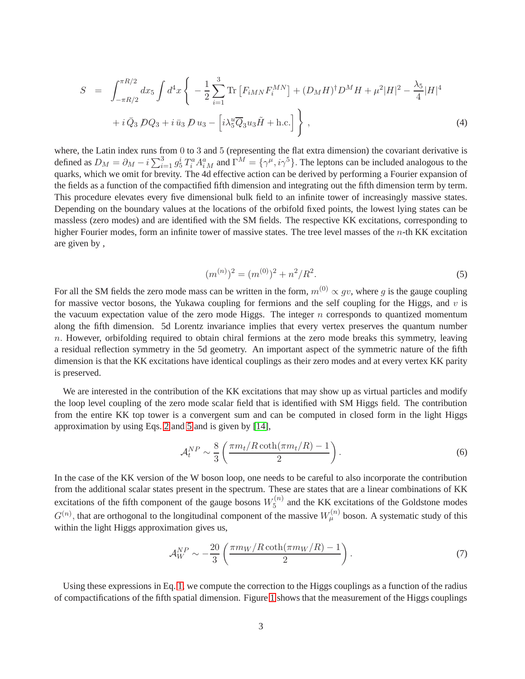<span id="page-2-1"></span>
$$
S = \int_{-\pi R/2}^{\pi R/2} dx_5 \int d^4 x \left\{ -\frac{1}{2} \sum_{i=1}^3 \text{Tr} \left[ F_{iMN} F_i^{MN} \right] + (D_M H)^\dagger D^M H + \mu^2 |H|^2 - \frac{\lambda_5}{4} |H|^4 \right. \\ \left. + i \,\bar{Q}_3 \, DQ_3 + i \,\bar{u}_3 \, D u_3 - \left[ i \lambda_5^u \overline{Q}_3 u_3 \tilde{H} + \text{h.c.} \right] \right\}, \tag{4}
$$

where, the Latin index runs from 0 to 3 and 5 (representing the flat extra dimension) the covariant derivative is defined as  $D_M = \partial_M - i \sum_{i=1}^3 g_5^i T_i^a A_i^a{}_M$  and  $\Gamma^M = \{\gamma^\mu, i\gamma^5\}$ . The leptons can be included analogous to the quarks, which we omit for brevity. The 4d effective action can be derived by performing a Fourier expansion of the fields as a function of the compactified fifth dimension and integrating out the fifth dimension term by term. This procedure elevates every five dimensional bulk field to an infinite tower of increasingly massive states. Depending on the boundary values at the locations of the orbifold fixed points, the lowest lying states can be massless (zero modes) and are identified with the SM fields. The respective KK excitations, corresponding to higher Fourier modes, form an infinite tower of massive states. The tree level masses of the *n*-th KK excitation are given by ,

<span id="page-2-0"></span>
$$
(m^{(n)})^2 = (m^{(0)})^2 + n^2/R^2.
$$
\n(5)

For all the SM fields the zero mode mass can be written in the form,  $m^{(0)} \propto qv$ , where q is the gauge coupling for massive vector bosons, the Yukawa coupling for fermions and the self coupling for the Higgs, and  $v$  is the vacuum expectation value of the zero mode Higgs. The integer  $n$  corresponds to quantized momentum along the fifth dimension. 5d Lorentz invariance implies that every vertex preserves the quantum number  $n.$  However, orbifolding required to obtain chiral fermions at the zero mode breaks this symmetry, leaving a residual reflection symmetry in the 5d geometry. An important aspect of the symmetric nature of the fifth dimension is that the KK excitations have identical couplings as their zero modes and at every vertex KK parity is preserved.

We are interested in the contribution of the KK excitations that may show up as virtual particles and modify the loop level coupling of the zero mode scalar field that is identified with SM Higgs field. The contribution from the entire KK top tower is a convergent sum and can be computed in closed form in the light Higgs approximation by using Eqs. [2](#page-1-0) and [5](#page-2-0) and is given by [\[14\]](#page-7-12),

$$
\mathcal{A}_t^{NP} \sim \frac{8}{3} \left( \frac{\pi m_t / R \coth(\pi m_t / R) - 1}{2} \right). \tag{6}
$$

In the case of the KK version of the W boson loop, one needs to be careful to also incorporate the contribution from the additional scalar states present in the spectrum. These are states that are a linear combinations of KK excitations of the fifth component of the gauge bosons  $W_5^{(n)}$  $5<sup>(n)</sup>$  and the KK excitations of the Goldstone modes  $G^{(n)}$ , that are orthogonal to the longitudinal component of the massive  $W^{(n)}_{\mu}$  boson. A systematic study of this within the light Higgs approximation gives us,

<span id="page-2-2"></span>
$$
\mathcal{A}_W^{NP} \sim -\frac{20}{3} \left( \frac{\pi m_W / R \coth(\pi m_W / R) - 1}{2} \right). \tag{7}
$$

Using these expressions in Eq. [1,](#page-1-1) we compute the correction to the Higgs couplings as a function of the radius of compactifications of the fifth spatial dimension. Figure [1](#page-3-0) shows that the measurement of the Higgs couplings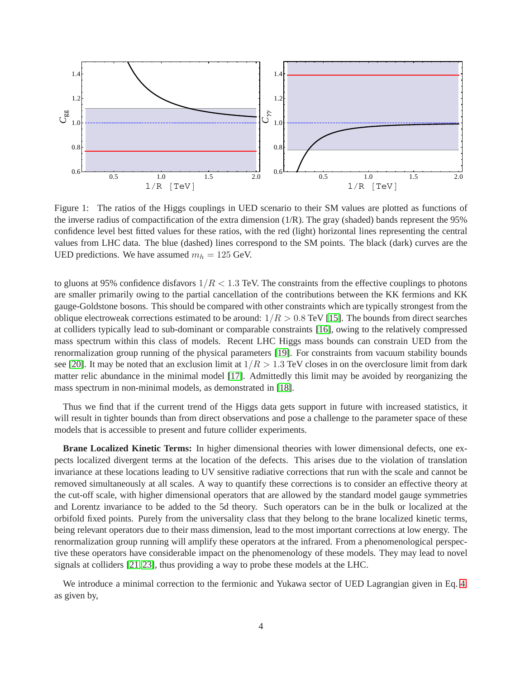

<span id="page-3-0"></span>Figure 1: The ratios of the Higgs couplings in UED scenario to their SM values are plotted as functions of the inverse radius of compactification of the extra dimension  $(1/R)$ . The gray (shaded) bands represent the 95% confidence level best fitted values for these ratios, with the red (light) horizontal lines representing the central values from LHC data. The blue (dashed) lines correspond to the SM points. The black (dark) curves are the UED predictions. We have assumed  $m_h = 125$  GeV.

to gluons at 95% confidence disfavors  $1/R < 1.3$  TeV. The constraints from the effective couplings to photons are smaller primarily owing to the partial cancellation of the contributions between the KK fermions and KK gauge-Goldstone bosons. This should be compared with other constraints which are typically strongest from the oblique electroweak corrections estimated to be around:  $1/R > 0.8$  TeV [\[15\]](#page-7-14). The bounds from direct searches at colliders typically lead to sub-dominant or comparable constraints [\[16\]](#page-7-15), owing to the relatively compressed mass spectrum within this class of models. Recent LHC Higgs mass bounds can constrain UED from the renormalization group running of the physical parameters [\[19\]](#page-8-0). For constraints from vacuum stability bounds see [\[20\]](#page-8-1). It may be noted that an exclusion limit at  $1/R > 1.3$  TeV closes in on the overclosure limit from dark matter relic abundance in the minimal model [\[17\]](#page-7-16). Admittedly this limit may be avoided by reorganizing the mass spectrum in non-minimal models, as demonstrated in [\[18\]](#page-7-17).

Thus we find that if the current trend of the Higgs data gets support in future with increased statistics, it will result in tighter bounds than from direct observations and pose a challenge to the parameter space of these models that is accessible to present and future collider experiments.

**Brane Localized Kinetic Terms:** In higher dimensional theories with lower dimensional defects, one expects localized divergent terms at the location of the defects. This arises due to the violation of translation invariance at these locations leading to UV sensitive radiative corrections that run with the scale and cannot be removed simultaneously at all scales. A way to quantify these corrections is to consider an effective theory at the cut-off scale, with higher dimensional operators that are allowed by the standard model gauge symmetries and Lorentz invariance to be added to the 5d theory. Such operators can be in the bulk or localized at the orbifold fixed points. Purely from the universality class that they belong to the brane localized kinetic terms, being relevant operators due to their mass dimension, lead to the most important corrections at low energy. The renormalization group running will amplify these operators at the infrared. From a phenomenological perspective these operators have considerable impact on the phenomenology of these models. They may lead to novel signals at colliders [\[21,](#page-8-2) [23\]](#page-8-3), thus providing a way to probe these models at the LHC.

We introduce a minimal correction to the fermionic and Yukawa sector of UED Lagrangian given in Eq. [4,](#page-2-1) as given by,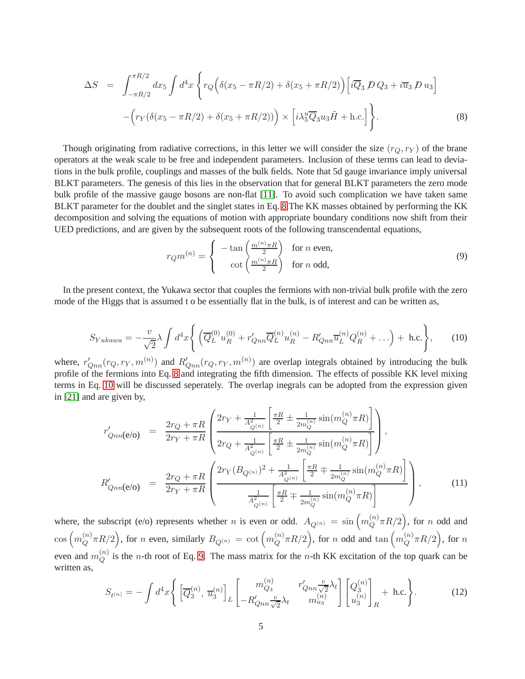<span id="page-4-0"></span>
$$
\Delta S = \int_{-\pi R/2}^{\pi R/2} dx_5 \int d^4x \left\{ r_Q \Big( \delta(x_5 - \pi R/2) + \delta(x_5 + \pi R/2) \Big) \Big[ i \overline{Q}_3 \, D \, Q_3 + i \overline{u}_3 \, D \, u_3 \Big] - \Big( r_Y \big( \delta(x_5 - \pi R/2) + \delta(x_5 + \pi R/2) \big) \Big) \times \Big[ i \lambda_5^u \overline{Q}_3 u_3 \tilde{H} + \text{h.c.} \Big] \right\}.
$$
 (8)

Though originating from radiative corrections, in this letter we will consider the size  $(r_Q, r_Y)$  of the brane operators at the weak scale to be free and independent parameters. Inclusion of these terms can lead to deviations in the bulk profile, couplings and masses of the bulk fields. Note that 5d gauge invariance imply universal BLKT parameters. The genesis of this lies in the observation that for general BLKT parameters the zero mode bulk profile of the massive gauge bosons are non-flat [\[11\]](#page-7-10). To avoid such complication we have taken same BLKT parameter for the doublet and the singlet states in Eq. [8.](#page-4-0)The KK masses obtained by performing the KK decomposition and solving the equations of motion with appropriate boundary conditions now shift from their UED predictions, and are given by the subsequent roots of the following transcendental equations,

<span id="page-4-2"></span>
$$
r_Q m^{(n)} = \begin{cases} -\tan\left(\frac{m^{(n)} \pi R}{2}\right) & \text{for } n \text{ even,} \\ \cot\left(\frac{m^{(n)} \pi R}{2}\right) & \text{for } n \text{ odd,} \end{cases}
$$
(9)

In the present context, the Yukawa sector that couples the fermions with non-trivial bulk profile with the zero mode of the Higgs that is assumed t o be essentially flat in the bulk, is of interest and can be written as,

<span id="page-4-1"></span>
$$
S_{Yukawa} = -\frac{v}{\sqrt{2}} \lambda \int d^4x \Bigg\{ \Big( \overline{Q}_L^{(0)} u_R^{(0)} + r'_{Qnn} \overline{Q}_L^{(n)} u_R^{(n)} - R'_{Qnn} \overline{u}_L^{(n)} Q_R^{(n)} + \ldots \Big) + \text{h.c.} \Bigg\}, \qquad (10)
$$

where,  $r'_{Qnn}(r_Q, r_Y, m^{(n)})$  and  $R'_{Qnn}(r_Q, r_Y, m^{(n)})$  are overlap integrals obtained by introducing the bulk profile of the fermions into Eq. [8](#page-4-0) and integrating the fifth dimension. The effects of possible KK level mixing terms in Eq. [10](#page-4-1) will be discussed seperately. The overlap inegrals can be adopted from the expression given in [\[21\]](#page-8-2) and are given by,

$$
r'_{Qnn}(\mathbf{e}/\mathbf{o}) = \frac{2r_Q + \pi R}{2r_Y + \pi R} \left( \frac{2r_Y + \frac{1}{A_{Q^{(n)}}^2} \left[ \frac{\pi R}{2} \pm \frac{1}{2m_Q^{(n)}} \sin(m_Q^{(n)} \pi R) \right]}{2r_Q + \frac{1}{A_{Q^{(n)}}^2} \left[ \frac{\pi R}{2} \pm \frac{1}{2m_Q^{(n)}} \sin(m_Q^{(n)} \pi R) \right]} \right),
$$
  
\n
$$
R'_{Qnn}(\mathbf{e}/\mathbf{o}) = \frac{2r_Q + \pi R}{2r_Y + \pi R} \left( \frac{2r_Y (B_{Q^{(n)}})^2 + \frac{1}{A_{Q^{(n)}}^2} \left[ \frac{\pi R}{2} \mp \frac{1}{2m_Q^{(n)}} \sin(m_Q^{(n)} \pi R) \right]}{\frac{1}{A_{Q^{(n)}}^2} \left[ \frac{\pi R}{2} \mp \frac{1}{2m_Q^{(n)}} \sin(m_Q^{(n)} \pi R) \right]} \right),
$$
(11)

where, the subscript (e/o) represents whether *n* is even or odd.  $A_{Q^{(n)}} = \sin \left( m_Q^{(n)} \right)$  $\binom{n}{Q} \pi R/2$ , for n odd and  $\cos\left(m_Q^{(n)}\right)$  $\binom{n}{Q}\pi R/2$ , for n even, similarly  $B_{Q^{(n)}}\,=\,\cot\Big( m_Q^{(n)}\,$  $\binom{n}{Q}\pi R/2\Big),$  for  $n$  odd and  $\tan\left(m_Q^{(n)}\right)$  $_{Q}^{(n)}\pi R/2\Big),\text{ for }n$ even and  $m_Q^{(n)}$  $Q_{Q}^{(n)}$  is the *n*-th root of Eq. [9.](#page-4-2) The mass matrix for the *n*-th KK excitation of the top quark can be written as,

<span id="page-4-3"></span>
$$
S_{t^{(n)}} = -\int d^4x \left\{ \left[ \overline{Q}_3^{(n)}, \overline{u}_3^{(n)} \right]_L \left[ \begin{array}{cc} m_{Q_3}^{(n)} & r'_{Qnn} \frac{v}{\sqrt{2}} \lambda_t \\ -R'_{Qnn} \frac{v}{\sqrt{2}} \lambda_t & m_{u_3}^{(n)} \end{array} \right] \left[ \begin{array}{c} Q_3^{(n)} \\ u_3^{(n)} \end{array} \right]_R + \text{h.c.} \right\}.
$$
 (12)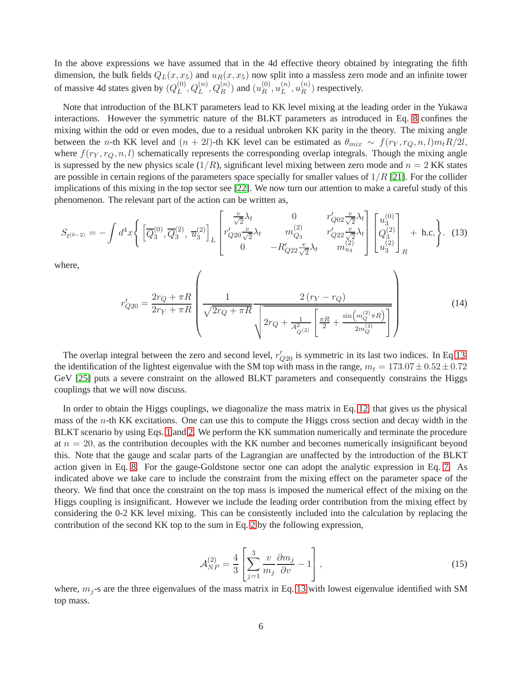In the above expressions we have assumed that in the 4d effective theory obtained by integrating the fifth dimension, the bulk fields  $Q_L(x, x_5)$  and  $u_R(x, x_5)$  now split into a massless zero mode and an infinite tower of massive 4d states given by  $(Q_L^{(0)})$  $L^{(0)}, Q_L^{(n)}, Q_R^{(n)})$  and  $(u_R^{(0)})$  $\mathop{R}\limits^{(0)},u_L^{(n)}$  $\binom{n}{L}, u_R^{(n)}$  $\binom{n}{R}$  respectively.

Note that introduction of the BLKT parameters lead to KK level mixing at the leading order in the Yukawa interactions. However the symmetric nature of the BLKT parameters as introduced in Eq. [8](#page-4-0) confines the mixing within the odd or even modes, due to a residual unbroken KK parity in the theory. The mixing angle between the n-th KK level and  $(n + 2l)$ -th KK level can be estimated as  $\theta_{mix} \sim f(r_Y, r_Q, n, l) m_t R/2l$ , where  $f(r_Y, r_Q, n, l)$  schematically represents the corresponding overlap integrals. Though the mixing angle is supressed by the new physics scale  $(1/R)$ , significant level mixing between zero mode and  $n = 2$  KK states are possible in certain regions of the parameters space specially for smaller values of  $1/R$  [\[21\]](#page-8-2). For the collider implications of this mixing in the top sector see [\[22\]](#page-8-4). We now turn our attention to make a careful study of this phenomenon. The relevant part of the action can be written as,

<span id="page-5-0"></span>
$$
S_{t^{(0-2)}} = -\int d^4x \left\{ \left[ \overline{Q}_3^{(0)}, \overline{Q}_3^{(2)}, \overline{u}_3^{(2)} \right]_L \begin{bmatrix} \frac{v}{\sqrt{2}}\lambda_t & 0 & r'_{Q02} \frac{v}{\sqrt{2}}\lambda_t \\ r'_{Q20} \frac{v}{\sqrt{2}}\lambda_t & m_{Q3}^{(2)} & r'_{Q22} \frac{v}{\sqrt{2}}\lambda_t \\ 0 & -R'_{Q22} \frac{v}{\sqrt{2}}\lambda_t & m_{u_3}^{(2)} \end{bmatrix} \begin{bmatrix} u_3^{(0)} \\ Q_3^{(2)} \\ u_3^{(2)} \end{bmatrix}_R + \text{h.c.} \right\}.
$$
 (13)

where,

$$
r'_{Q20} = \frac{2r_Q + \pi R}{2r_Y + \pi R} \left( \frac{1}{\sqrt{2r_Q + \pi R}} \frac{2(r_Y - r_Q)}{\sqrt{2r_Q + \pi R} \sqrt{\frac{2r_Q + \frac{1}{r_Q}}{2r_Q + \frac{1}{r_Q^2} \left(\frac{\pi R}{2} + \frac{\sin\left(m_Q^{(2)} \pi R\right)}{2m_Q^{(2)}}\right)}}} \right)
$$
(14)

The overlap integral between the zero and second level,  $r'_{Q20}$  is symmetric in its last two indices. In Eq [13,](#page-5-0) the identification of the lightest eigenvalue with the SM top with mass in the range,  $m_t = 173.07 \pm 0.52 \pm 0.72$ GeV [\[25\]](#page-8-5) puts a severe constraint on the allowed BLKT parameters and consequently constrains the Higgs couplings that we will now discuss.

In order to obtain the Higgs couplings, we diagonalize the mass matrix in Eq. [12,](#page-4-3) that gives us the physical mass of the  $n$ -th KK excitations. One can use this to compute the Higgs cross section and decay width in the BLKT scenario by using Eqs. [1](#page-1-1) and [2.](#page-1-0) We perform the KK summation numerically and terminate the procedure at  $n = 20$ , as the contribution decouples with the KK number and becomes numerically insignificant beyond this. Note that the gauge and scalar parts of the Lagrangian are unaffected by the introduction of the BLKT action given in Eq. [8.](#page-4-0) For the gauge-Goldstone sector one can adopt the analytic expression in Eq. [7.](#page-2-2) As indicated above we take care to include the constraint from the mixing effect on the parameter space of the theory. We find that once the constraint on the top mass is imposed the numerical effect of the mixing on the Higgs coupling is insignificant. However we include the leading order contribution from the mixing effect by considering the 0-2 KK level mixing. This can be consistently included into the calculation by replacing the contribution of the second KK top to the sum in Eq. [2](#page-1-0) by the following expression,

$$
\mathcal{A}_{NP}^{(2)} = \frac{4}{3} \left[ \sum_{j=1}^{3} \frac{v}{m_j} \frac{\partial m_j}{\partial v} - 1 \right],\tag{15}
$$

where,  $m_j$ -s are the three eigenvalues of the mass matrix in Eq. [13](#page-5-0) with lowest eigenvalue identified with SM top mass.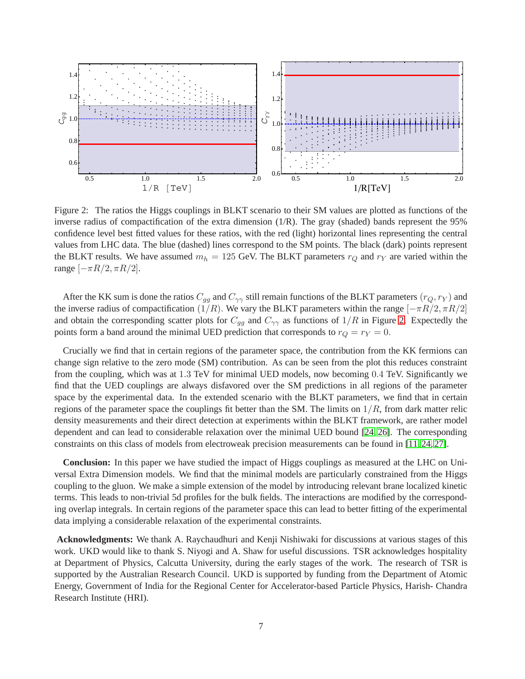

<span id="page-6-0"></span>Figure 2: The ratios the Higgs couplings in BLKT scenario to their SM values are plotted as functions of the inverse radius of compactification of the extra dimension (1/R). The gray (shaded) bands represent the 95% confidence level best fitted values for these ratios, with the red (light) horizontal lines representing the central values from LHC data. The blue (dashed) lines correspond to the SM points. The black (dark) points represent the BLKT results. We have assumed  $m_h = 125$  GeV. The BLKT parameters  $r_Q$  and  $r_Y$  are varied within the range  $[-\pi R/2, \pi R/2]$ .

After the KK sum is done the ratios  $C_{qq}$  and  $C_{\gamma\gamma}$  still remain functions of the BLKT parameters  $(r_Q, r_Y)$  and the inverse radius of compactification (1/R). We vary the BLKT parameters within the range  $[-\pi R/2, \pi R/2]$ and obtain the corresponding scatter plots for  $C_{gg}$  and  $C_{\gamma\gamma}$  as functions of  $1/R$  in Figure [2.](#page-6-0) Expectedly the points form a band around the minimal UED prediction that corresponds to  $r_Q = r_Y = 0$ .

Crucially we find that in certain regions of the parameter space, the contribution from the KK fermions can change sign relative to the zero mode (SM) contribution. As can be seen from the plot this reduces constraint from the coupling, which was at 1.3 TeV for minimal UED models, now becoming 0.4 TeV. Significantly we find that the UED couplings are always disfavored over the SM predictions in all regions of the parameter space by the experimental data. In the extended scenario with the BLKT parameters, we find that in certain regions of the parameter space the couplings fit better than the SM. The limits on  $1/R$ , from dark matter relic density measurements and their direct detection at experiments within the BLKT framework, are rather model dependent and can lead to considerable relaxation over the minimal UED bound [\[24,](#page-8-6) [26\]](#page-8-7). The corresponding constraints on this class of models from electroweak precision measurements can be found in [\[11,](#page-7-10) [24,](#page-8-6) [27\]](#page-8-8).

**Conclusion:** In this paper we have studied the impact of Higgs couplings as measured at the LHC on Universal Extra Dimension models. We find that the minimal models are particularly constrained from the Higgs coupling to the gluon. We make a simple extension of the model by introducing relevant brane localized kinetic terms. This leads to non-trivial 5d profiles for the bulk fields. The interactions are modified by the corresponding overlap integrals. In certain regions of the parameter space this can lead to better fitting of the experimental data implying a considerable relaxation of the experimental constraints.

**Acknowledgments:** We thank A. Raychaudhuri and Kenji Nishiwaki for discussions at various stages of this work. UKD would like to thank S. Niyogi and A. Shaw for useful discussions. TSR acknowledges hospitality at Department of Physics, Calcutta University, during the early stages of the work. The research of TSR is supported by the Australian Research Council. UKD is supported by funding from the Department of Atomic Energy, Government of India for the Regional Center for Accelerator-based Particle Physics, Harish- Chandra Research Institute (HRI).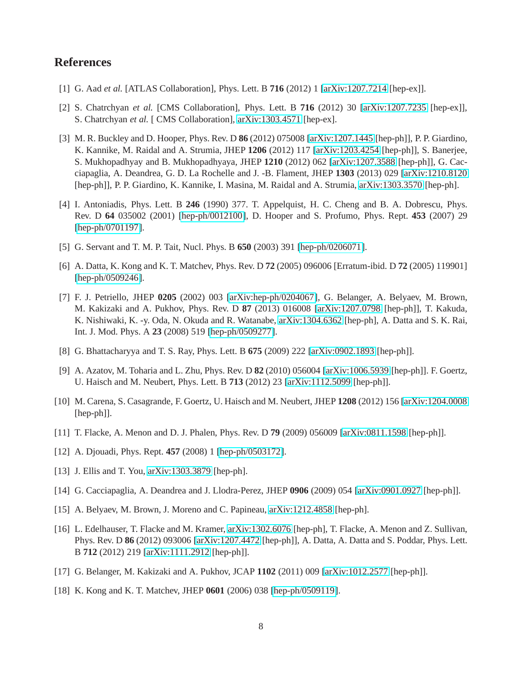## <span id="page-7-0"></span>**References**

- <span id="page-7-1"></span>[1] G. Aad *et al.* [ATLAS Collaboration], Phys. Lett. B **716** (2012) 1 [\[arXiv:1207.7214](http://arxiv.org/abs/1207.7214) [hep-ex]].
- <span id="page-7-2"></span>[2] S. Chatrchyan *et al.* [CMS Collaboration], Phys. Lett. B **716** (2012) 30 [\[arXiv:1207.7235](http://arxiv.org/abs/1207.7235) [hep-ex]], S. Chatrchyan *et al.* [ CMS Collaboration], [arXiv:1303.4571](http://arxiv.org/abs/1303.4571) [hep-ex].
- [3] M. R. Buckley and D. Hooper, Phys. Rev. D **86** (2012) 075008 [\[arXiv:1207.1445](http://arxiv.org/abs/1207.1445) [hep-ph]], P. P. Giardino, K. Kannike, M. Raidal and A. Strumia, JHEP **1206** (2012) 117 [\[arXiv:1203.4254](http://arxiv.org/abs/1203.4254) [hep-ph]], S. Banerjee, S. Mukhopadhyay and B. Mukhopadhyaya, JHEP **1210** (2012) 062 [\[arXiv:1207.3588](http://arxiv.org/abs/1207.3588) [hep-ph]], G. Cacciapaglia, A. Deandrea, G. D. La Rochelle and J. -B. Flament, JHEP **1303** (2013) 029 [\[arXiv:1210.8120](http://arxiv.org/abs/1210.8120) [hep-ph]], P. P. Giardino, K. Kannike, I. Masina, M. Raidal and A. Strumia, [arXiv:1303.3570](http://arxiv.org/abs/1303.3570) [hep-ph].
- <span id="page-7-3"></span>[4] I. Antoniadis, Phys. Lett. B **246** (1990) 377. T. Appelquist, H. C. Cheng and B. A. Dobrescu, Phys. Rev. D **64** 035002 (2001) [\[hep-ph/0012100\]](http://arxiv.org/abs/hep-ph/0012100), D. Hooper and S. Profumo, Phys. Rept. **453** (2007) 29 [\[hep-ph/0701197\]](http://arxiv.org/abs/hep-ph/0701197).
- <span id="page-7-5"></span><span id="page-7-4"></span>[5] G. Servant and T. M. P. Tait, Nucl. Phys. B **650** (2003) 391 [\[hep-ph/0206071\]](http://arxiv.org/abs/hep-ph/0206071).
- [6] A. Datta, K. Kong and K. T. Matchev, Phys. Rev. D **72** (2005) 096006 [Erratum-ibid. D **72** (2005) 119901] [\[hep-ph/0509246\]](http://arxiv.org/abs/hep-ph/0509246).
- <span id="page-7-6"></span>[7] F. J. Petriello, JHEP **0205** (2002) 003 [\[arXiv:hep-ph/0204067\]](http://arxiv.org/abs/hep-ph/0204067), G. Belanger, A. Belyaev, M. Brown, M. Kakizaki and A. Pukhov, Phys. Rev. D **87** (2013) 016008 [\[arXiv:1207.0798](http://arxiv.org/abs/1207.0798) [hep-ph]], T. Kakuda, K. Nishiwaki, K. -y. Oda, N. Okuda and R. Watanabe, [arXiv:1304.6362](http://arxiv.org/abs/1304.6362) [hep-ph], A. Datta and S. K. Rai, Int. J. Mod. Phys. A **23** (2008) 519 [\[hep-ph/0509277\]](http://arxiv.org/abs/hep-ph/0509277).
- <span id="page-7-8"></span><span id="page-7-7"></span>[8] G. Bhattacharyya and T. S. Ray, Phys. Lett. B **675** (2009) 222 [\[arXiv:0902.1893](http://arxiv.org/abs/0902.1893) [hep-ph]].
- [9] A. Azatov, M. Toharia and L. Zhu, Phys. Rev. D **82** (2010) 056004 [\[arXiv:1006.5939](http://arxiv.org/abs/1006.5939) [hep-ph]]. F. Goertz, U. Haisch and M. Neubert, Phys. Lett. B **713** (2012) 23 [\[arXiv:1112.5099](http://arxiv.org/abs/1112.5099) [hep-ph]].
- <span id="page-7-9"></span>[10] M. Carena, S. Casagrande, F. Goertz, U. Haisch and M. Neubert, JHEP **1208** (2012) 156 [\[arXiv:1204.0008](http://arxiv.org/abs/1204.0008) [hep-ph]].
- <span id="page-7-11"></span><span id="page-7-10"></span>[11] T. Flacke, A. Menon and D. J. Phalen, Phys. Rev. D **79** (2009) 056009 [\[arXiv:0811.1598](http://arxiv.org/abs/0811.1598) [hep-ph]].
- <span id="page-7-13"></span>[12] A. Djouadi, Phys. Rept. **457** (2008) 1 [\[hep-ph/0503172\]](http://arxiv.org/abs/hep-ph/0503172).
- <span id="page-7-12"></span>[13] J. Ellis and T. You, [arXiv:1303.3879](http://arxiv.org/abs/1303.3879) [hep-ph].
- <span id="page-7-14"></span>[14] G. Cacciapaglia, A. Deandrea and J. Llodra-Perez, JHEP **0906** (2009) 054 [\[arXiv:0901.0927](http://arxiv.org/abs/0901.0927) [hep-ph]].
- <span id="page-7-15"></span>[15] A. Belyaev, M. Brown, J. Moreno and C. Papineau, [arXiv:1212.4858](http://arxiv.org/abs/1212.4858) [hep-ph].
- [16] L. Edelhauser, T. Flacke and M. Kramer, [arXiv:1302.6076](http://arxiv.org/abs/1302.6076) [hep-ph], T. Flacke, A. Menon and Z. Sullivan, Phys. Rev. D **86** (2012) 093006 [\[arXiv:1207.4472](http://arxiv.org/abs/1207.4472) [hep-ph]], A. Datta, A. Datta and S. Poddar, Phys. Lett. B **712** (2012) 219 [\[arXiv:1111.2912](http://arxiv.org/abs/1111.2912) [hep-ph]].
- <span id="page-7-17"></span><span id="page-7-16"></span>[17] G. Belanger, M. Kakizaki and A. Pukhov, JCAP **1102** (2011) 009 [\[arXiv:1012.2577](http://arxiv.org/abs/1012.2577) [hep-ph]].
- [18] K. Kong and K. T. Matchev, JHEP **0601** (2006) 038 [\[hep-ph/0509119\]](http://arxiv.org/abs/hep-ph/0509119).